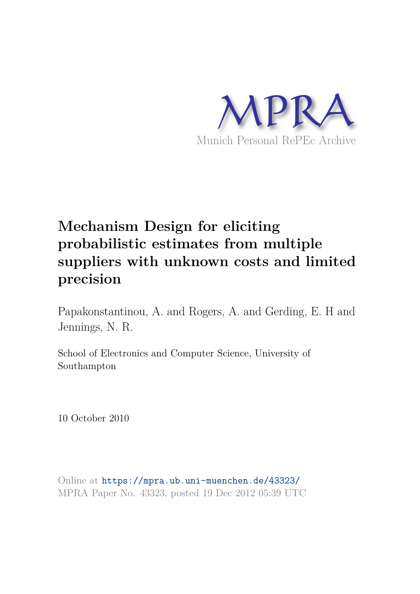

# **Mechanism Design for eliciting probabilistic estimates from multiple suppliers with unknown costs and limited precision**

Papakonstantinou, A. and Rogers, A. and Gerding, E. H and Jennings, N. R.

School of Electronics and Computer Science, University of Southampton

10 October 2010

Online at https://mpra.ub.uni-muenchen.de/43323/ MPRA Paper No. 43323, posted 19 Dec 2012 05:39 UTC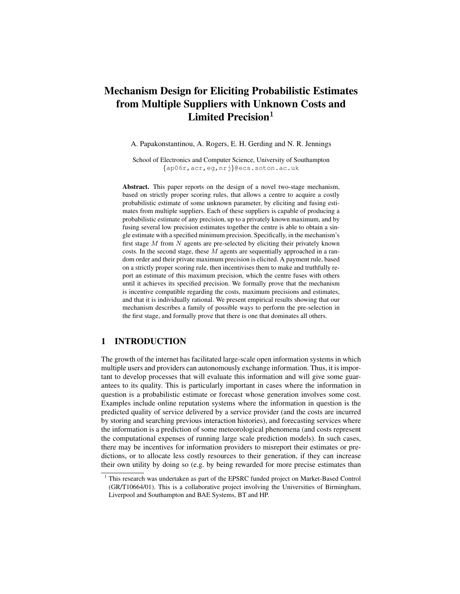# Mechanism Design for Eliciting Probabilistic Estimates from Multiple Suppliers with Unknown Costs and Limited Precision $<sup>1</sup>$ </sup>

A. Papakonstantinou, A. Rogers, E. H. Gerding and N. R. Jennings

School of Electronics and Computer Science, University of Southampton {ap06r,acr,eg,nrj}@ecs.soton.ac.uk

Abstract. This paper reports on the design of a novel two-stage mechanism, based on strictly proper scoring rules, that allows a centre to acquire a costly probabilistic estimate of some unknown parameter, by eliciting and fusing estimates from multiple suppliers. Each of these suppliers is capable of producing a probabilistic estimate of any precision, up to a privately known maximum, and by fusing several low precision estimates together the centre is able to obtain a single estimate with a specified minimum precision. Specifically, in the mechanism's first stage  $M$  from  $N$  agents are pre-selected by eliciting their privately known costs. In the second stage, these  $M$  agents are sequentially approached in a random order and their private maximum precision is elicited. A payment rule, based on a strictly proper scoring rule, then incentivises them to make and truthfully report an estimate of this maximum precision, which the centre fuses with others until it achieves its specified precision. We formally prove that the mechanism is incentive compatible regarding the costs, maximum precisions and estimates, and that it is individually rational. We present empirical results showing that our mechanism describes a family of possible ways to perform the pre-selection in the first stage, and formally prove that there is one that dominates all others.

#### 1 INTRODUCTION

The growth of the internet has facilitated large-scale open information systems in which multiple users and providers can autonomously exchange information. Thus, it is important to develop processes that will evaluate this information and will give some guarantees to its quality. This is particularly important in cases where the information in question is a probabilistic estimate or forecast whose generation involves some cost. Examples include online reputation systems where the information in question is the predicted quality of service delivered by a service provider (and the costs are incurred by storing and searching previous interaction histories), and forecasting services where the information is a prediction of some meteorological phenomena (and costs represent the computational expenses of running large scale prediction models). In such cases, there may be incentives for information providers to misreport their estimates or predictions, or to allocate less costly resources to their generation, if they can increase their own utility by doing so (e.g. by being rewarded for more precise estimates than

<sup>&</sup>lt;sup>1</sup> This research was undertaken as part of the EPSRC funded project on Market-Based Control (GR/T10664/01). This is a collaborative project involving the Universities of Birmingham, Liverpool and Southampton and BAE Systems, BT and HP.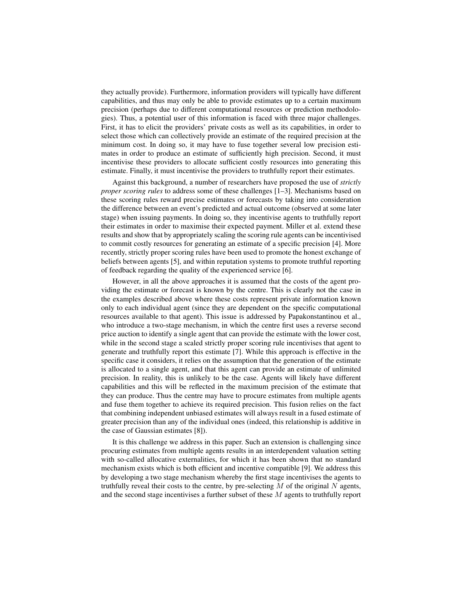they actually provide). Furthermore, information providers will typically have different capabilities, and thus may only be able to provide estimates up to a certain maximum precision (perhaps due to different computational resources or prediction methodologies). Thus, a potential user of this information is faced with three major challenges. First, it has to elicit the providers' private costs as well as its capabilities, in order to select those which can collectively provide an estimate of the required precision at the minimum cost. In doing so, it may have to fuse together several low precision estimates in order to produce an estimate of sufficiently high precision. Second, it must incentivise these providers to allocate sufficient costly resources into generating this estimate. Finally, it must incentivise the providers to truthfully report their estimates.

Against this background, a number of researchers have proposed the use of *strictly proper scoring rules* to address some of these challenges [1–3]. Mechanisms based on these scoring rules reward precise estimates or forecasts by taking into consideration the difference between an event's predicted and actual outcome (observed at some later stage) when issuing payments. In doing so, they incentivise agents to truthfully report their estimates in order to maximise their expected payment. Miller et al. extend these results and show that by appropriately scaling the scoring rule agents can be incentivised to commit costly resources for generating an estimate of a specific precision [4]. More recently, strictly proper scoring rules have been used to promote the honest exchange of beliefs between agents [5], and within reputation systems to promote truthful reporting of feedback regarding the quality of the experienced service [6].

However, in all the above approaches it is assumed that the costs of the agent providing the estimate or forecast is known by the centre. This is clearly not the case in the examples described above where these costs represent private information known only to each individual agent (since they are dependent on the specific computational resources available to that agent). This issue is addressed by Papakonstantinou et al., who introduce a two-stage mechanism, in which the centre first uses a reverse second price auction to identify a single agent that can provide the estimate with the lower cost, while in the second stage a scaled strictly proper scoring rule incentivises that agent to generate and truthfully report this estimate [7]. While this approach is effective in the specific case it considers, it relies on the assumption that the generation of the estimate is allocated to a single agent, and that this agent can provide an estimate of unlimited precision. In reality, this is unlikely to be the case. Agents will likely have different capabilities and this will be reflected in the maximum precision of the estimate that they can produce. Thus the centre may have to procure estimates from multiple agents and fuse them together to achieve its required precision. This fusion relies on the fact that combining independent unbiased estimates will always result in a fused estimate of greater precision than any of the individual ones (indeed, this relationship is additive in the case of Gaussian estimates [8]).

It is this challenge we address in this paper. Such an extension is challenging since procuring estimates from multiple agents results in an interdependent valuation setting with so-called allocative externalities, for which it has been shown that no standard mechanism exists which is both efficient and incentive compatible [9]. We address this by developing a two stage mechanism whereby the first stage incentivises the agents to truthfully reveal their costs to the centre, by pre-selecting  $M$  of the original  $N$  agents, and the second stage incentivises a further subset of these M agents to truthfully report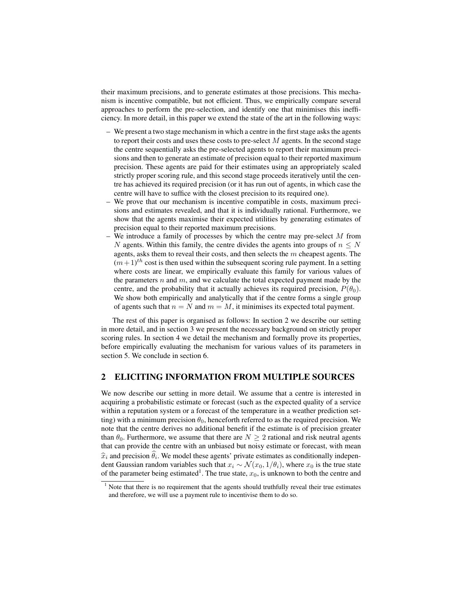their maximum precisions, and to generate estimates at those precisions. This mechanism is incentive compatible, but not efficient. Thus, we empirically compare several approaches to perform the pre-selection, and identify one that minimises this inefficiency. In more detail, in this paper we extend the state of the art in the following ways:

- We present a two stage mechanism in which a centre in the first stage asks the agents to report their costs and uses these costs to pre-select M agents. In the second stage the centre sequentially asks the pre-selected agents to report their maximum precisions and then to generate an estimate of precision equal to their reported maximum precision. These agents are paid for their estimates using an appropriately scaled strictly proper scoring rule, and this second stage proceeds iteratively until the centre has achieved its required precision (or it has run out of agents, in which case the centre will have to suffice with the closest precision to its required one).
- We prove that our mechanism is incentive compatible in costs, maximum precisions and estimates revealed, and that it is individually rational. Furthermore, we show that the agents maximise their expected utilities by generating estimates of precision equal to their reported maximum precisions.
- We introduce a family of processes by which the centre may pre-select  $M$  from N agents. Within this family, the centre divides the agents into groups of  $n \leq N$ agents, asks them to reveal their costs, and then selects the m cheapest agents. The  $(m+1)$ <sup>th</sup> cost is then used within the subsequent scoring rule payment. In a setting where costs are linear, we empirically evaluate this family for various values of the parameters  $n$  and  $m$ , and we calculate the total expected payment made by the centre, and the probability that it actually achieves its required precision,  $P(\theta_0)$ . We show both empirically and analytically that if the centre forms a single group of agents such that  $n = N$  and  $m = M$ , it minimises its expected total payment.

The rest of this paper is organised as follows: In section 2 we describe our setting in more detail, and in section 3 we present the necessary background on strictly proper scoring rules. In section 4 we detail the mechanism and formally prove its properties, before empirically evaluating the mechanism for various values of its parameters in section 5. We conclude in section 6.

# 2 ELICITING INFORMATION FROM MULTIPLE SOURCES

We now describe our setting in more detail. We assume that a centre is interested in acquiring a probabilistic estimate or forecast (such as the expected quality of a service within a reputation system or a forecast of the temperature in a weather prediction setting) with a minimum precision  $\theta_0$ , henceforth referred to as the required precision. We note that the centre derives no additional benefit if the estimate is of precision greater than  $\theta_0$ . Furthermore, we assume that there are  $N \geq 2$  rational and risk neutral agents that can provide the centre with an unbiased but noisy estimate or forecast, with mean  $\hat{x}_i$  and precision  $\theta_i$ . We model these agents' private estimates as conditionally independent. dent Gaussian random variables such that  $x_i \sim \mathcal{N}(x_0, 1/\theta_i)$ , where  $x_0$  is the true state of the parameter being estimated<sup>1</sup>. The true state,  $x_0$ , is unknown to both the centre and

<sup>&</sup>lt;sup>1</sup> Note that there is no requirement that the agents should truthfully reveal their true estimates and therefore, we will use a payment rule to incentivise them to do so.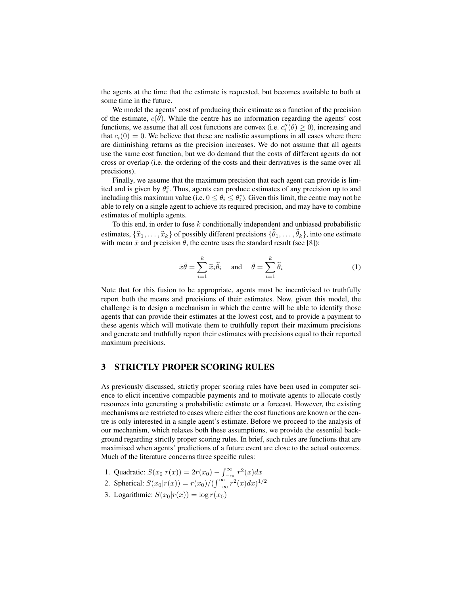the agents at the time that the estimate is requested, but becomes available to both at some time in the future.

We model the agents' cost of producing their estimate as a function of the precision of the estimate,  $c(\theta)$ . While the centre has no information regarding the agents' cost functions, we assume that all cost functions are convex (i.e.  $c_i''(\theta) \ge 0$ ), increasing and that  $c_i(0) = 0$ . We believe that these are realistic assumptions in all cases where there are diminishing returns as the precision increases. We do not assume that all agents use the same cost function, but we do demand that the costs of different agents do not cross or overlap (i.e. the ordering of the costs and their derivatives is the same over all precisions).

Finally, we assume that the maximum precision that each agent can provide is limited and is given by  $\theta_i^c$ . Thus, agents can produce estimates of any precision up to and including this maximum value (i.e.  $0 \le \theta_i \le \theta_i^c$ ). Given this limit, the centre may not be able to rely on a single agent to achieve its required precision, and may have to combine estimates of multiple agents.

To this end, in order to fuse  $k$  conditionally independent and unbiased probabilistic estimates,  $\{\widehat{x}_1, \ldots, \widehat{x}_k\}$  of possibly different precisions  $\{\widehat{\theta}_1, \ldots, \widehat{\theta}_k\}$ , into one estimate with mean  $\bar{x}$  and precision  $\bar{\theta}$ , the centre uses the standard result (see [8]):

$$
\bar{x}\bar{\theta} = \sum_{i=1}^{k} \widehat{x}_i \widehat{\theta}_i \quad \text{and} \quad \bar{\theta} = \sum_{i=1}^{k} \widehat{\theta}_i \tag{1}
$$

Note that for this fusion to be appropriate, agents must be incentivised to truthfully report both the means and precisions of their estimates. Now, given this model, the challenge is to design a mechanism in which the centre will be able to identify those agents that can provide their estimates at the lowest cost, and to provide a payment to these agents which will motivate them to truthfully report their maximum precisions and generate and truthfully report their estimates with precisions equal to their reported maximum precisions.

# 3 STRICTLY PROPER SCORING RULES

As previously discussed, strictly proper scoring rules have been used in computer science to elicit incentive compatible payments and to motivate agents to allocate costly resources into generating a probabilistic estimate or a forecast. However, the existing mechanisms are restricted to cases where either the cost functions are known or the centre is only interested in a single agent's estimate. Before we proceed to the analysis of our mechanism, which relaxes both these assumptions, we provide the essential background regarding strictly proper scoring rules. In brief, such rules are functions that are maximised when agents' predictions of a future event are close to the actual outcomes. Much of the literature concerns three specific rules:

- 1. Quadratic:  $S(x_0|r(x)) = 2r(x_0) \int_{-\infty}^{\infty} r^2(x)dx$
- 2. Spherical:  $S(x_0|r(x)) = r(x_0)/(\int_{-\infty}^{\infty} r^2(x)dx)^{1/2}$
- 3. Logarithmic:  $S(x_0|r(x)) = \log r(x_0)$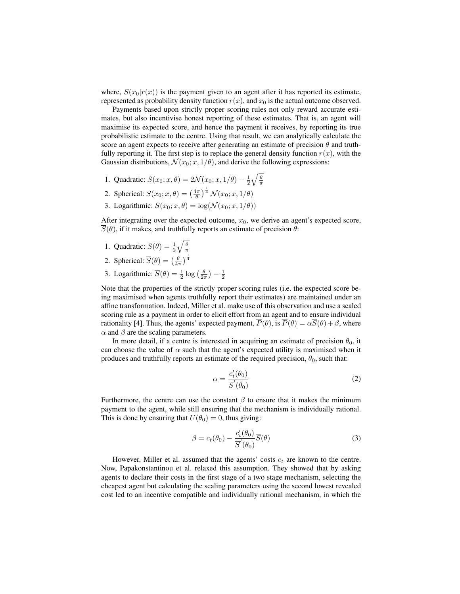where,  $S(x_0|r(x))$  is the payment given to an agent after it has reported its estimate, represented as probability density function  $r(x)$ , and  $x_0$  is the actual outcome observed.

Payments based upon strictly proper scoring rules not only reward accurate estimates, but also incentivise honest reporting of these estimates. That is, an agent will maximise its expected score, and hence the payment it receives, by reporting its true probabilistic estimate to the centre. Using that result, we can analytically calculate the score an agent expects to receive after generating an estimate of precision  $\theta$  and truthfully reporting it. The first step is to replace the general density function  $r(x)$ , with the Gaussian distributions,  $\mathcal{N}(x_0; x, 1/\theta)$ , and derive the following expressions:

- 1. Quadratic:  $S(x_0; x, \theta) = 2\mathcal{N}(x_0; x, 1/\theta) \frac{1}{2}$  $\sqrt{\frac{\theta}{\pi}}$
- 2. Spherical:  $S(x_0; x, \theta) = \left(\frac{4\pi}{\theta}\right)^{\frac{1}{4}} \mathcal{N}(x_0; x, 1/\theta)$
- 3. Logarithmic:  $S(x_0; x, \theta) = \log(N(x_0; x, 1/\theta))$

After integrating over the expected outcome,  $x_0$ , we derive an agent's expected score,  $S(\theta)$ , if it makes, and truthfully reports an estimate of precision  $\theta$ :

- 1. Quadratic:  $\overline{S}(\theta) = \frac{1}{2}$  $\sqrt{\frac{\theta}{\pi}}$
- 2. Spherical:  $\overline{S}(\theta) = \left(\frac{\theta}{4\pi}\right)^{\frac{1}{4}}$
- 3. Logarithmic:  $\overline{S}(\theta) = \frac{1}{2} \log \left( \frac{\theta}{2\pi} \right) \frac{1}{2}$

Note that the properties of the strictly proper scoring rules (i.e. the expected score being maximised when agents truthfully report their estimates) are maintained under an affine transformation. Indeed, Miller et al. make use of this observation and use a scaled scoring rule as a payment in order to elicit effort from an agent and to ensure individual rationality [4]. Thus, the agents' expected payment,  $\overline{P}(\theta)$ , is  $\overline{P}(\theta) = \alpha \overline{S}(\theta) + \beta$ , where  $\alpha$  and  $\beta$  are the scaling parameters.

In more detail, if a centre is interested in acquiring an estimate of precision  $\theta_0$ , it can choose the value of  $\alpha$  such that the agent's expected utility is maximised when it produces and truthfully reports an estimate of the required precision,  $\theta_0$ , such that:

$$
\alpha = \frac{c_t'(\theta_0)}{\overline{S}'(\theta_0)}\tag{2}
$$

Furthermore, the centre can use the constant  $\beta$  to ensure that it makes the minimum payment to the agent, while still ensuring that the mechanism is individually rational. This is done by ensuring that  $\overline{U}(\theta_0) = 0$ , thus giving:

$$
\beta = c_t(\theta_0) - \frac{c'_t(\theta_0)}{\overline{S}'(\theta_0)} \overline{S}(\theta)
$$
\n(3)

However, Miller et al. assumed that the agents' costs  $c_t$  are known to the centre. Now, Papakonstantinou et al. relaxed this assumption. They showed that by asking agents to declare their costs in the first stage of a two stage mechanism, selecting the cheapest agent but calculating the scaling parameters using the second lowest revealed cost led to an incentive compatible and individually rational mechanism, in which the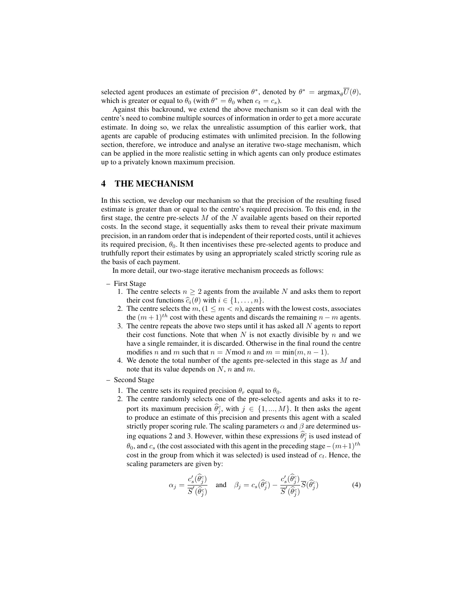selected agent produces an estimate of precision  $\theta^*$ , denoted by  $\theta^* = \text{argmax}_{\theta} \overline{U}(\theta)$ , which is greater or equal to  $\theta_0$  (with  $\theta^* = \theta_0$  when  $c_t = c_s$ ).

Against this backround, we extend the above mechanism so it can deal with the centre's need to combine multiple sources of information in order to get a more accurate estimate. In doing so, we relax the unrealistic assumption of this earlier work, that agents are capable of producing estimates with unlimited precision. In the following section, therefore, we introduce and analyse an iterative two-stage mechanism, which can be applied in the more realistic setting in which agents can only produce estimates up to a privately known maximum precision.

#### 4 THE MECHANISM

In this section, we develop our mechanism so that the precision of the resulting fused estimate is greater than or equal to the centre's required precision. To this end, in the first stage, the centre pre-selects  $M$  of the  $N$  available agents based on their reported costs. In the second stage, it sequentially asks them to reveal their private maximum precision, in an random order that is independent of their reported costs, until it achieves its required precision,  $\theta_0$ . It then incentivises these pre-selected agents to produce and truthfully report their estimates by using an appropriately scaled strictly scoring rule as the basis of each payment.

In more detail, our two-stage iterative mechanism proceeds as follows:

- First Stage
	- 1. The centre selects  $n \geq 2$  agents from the available N and asks them to report their cost functions  $\widehat{c}_i(\theta)$  with  $i \in \{1, \ldots, n\}.$
	- 2. The centre selects the  $m, (1 \leq m < n)$ , agents with the lowest costs, associates the  $(m+1)$ <sup>th</sup> cost with these agents and discards the remaining  $n-m$  agents.
	- 3. The centre repeats the above two steps until it has asked all  $N$  agents to report their cost functions. Note that when  $N$  is not exactly divisible by  $n$  and we have a single remainder, it is discarded. Otherwise in the final round the centre modifies *n* and *m* such that  $n = N \mod n$  and  $m = \min(m, n - 1)$ .
	- 4. We denote the total number of the agents pre-selected in this stage as M and note that its value depends on  $N$ ,  $n$  and  $m$ .
- Second Stage
	- 1. The centre sets its required precision  $\theta_r$  equal to  $\theta_0$ .
	- 2. The centre randomly selects one of the pre-selected agents and asks it to report its maximum precision  $\hat{\theta}_j^c$ , with  $j \in \{1, ..., M\}$ . It then asks the agent to produce an estimate of this precision and presents this agent with a scaled strictly proper scoring rule. The scaling parameters  $\alpha$  and  $\beta$  are determined using equations 2 and 3. However, within these expressions  $\hat{\theta}_{j}^{c}$  is used instead of  $\theta_0$ , and  $c_s$  (the cost associated with this agent in the preceding stage –  $(m+1)$ <sup>th</sup> cost in the group from which it was selected) is used instead of  $c_t$ . Hence, the scaling parameters are given by:

$$
\alpha_j = \frac{c'_s(\widehat{\theta}_j^c)}{\overline{S}'(\widehat{\theta}_j^c)} \quad \text{and} \quad \beta_j = c_s(\widehat{\theta}_j^c) - \frac{c'_s(\widehat{\theta}_j^c)}{\overline{S}'(\widehat{\theta}_j^c)} \overline{S}(\widehat{\theta}_j^c)
$$
(4)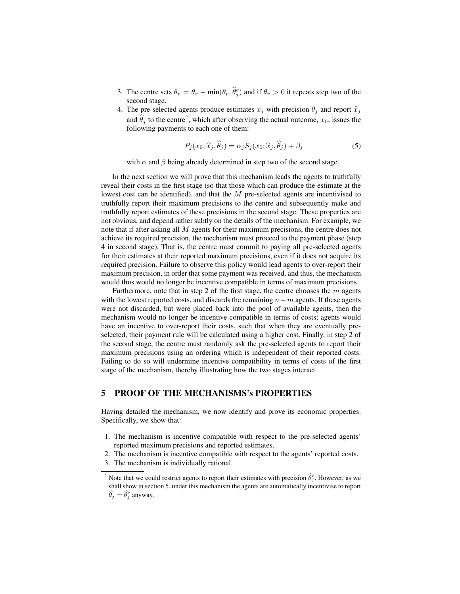- 3. The centre sets  $\theta_r = \theta_r \min(\theta_r, \hat{\theta}_j^c)$  and if  $\theta_r > 0$  it repeats step two of the second stage.
- 4. The pre-selected agents produce estimates  $x_j$  with precision  $\theta_j$  and report  $\hat{x}_j$ and  $\hat{\theta}_j$  to the centre<sup>2</sup>, which after observing the actual outcome,  $x_0$ , issues the following payments to each one of them:

$$
P_j(x_0; \hat{x}_j, \theta_j) = \alpha_j S_j(x_0; \hat{x}_j, \theta_j) + \beta_j
$$
\n(5)

with  $\alpha$  and  $\beta$  being already determined in step two of the second stage.

In the next section we will prove that this mechanism leads the agents to truthfully reveal their costs in the first stage (so that those which can produce the estimate at the lowest cost can be identified), and that the M pre-selected agents are incentivised to truthfully report their maximum precisions to the centre and subsequently make and truthfully report estimates of these precisions in the second stage. These properties are not obvious, and depend rather subtly on the details of the mechanism. For example, we note that if after asking all M agents for their maximum precisions, the centre does not achieve its required precision, the mechanism must proceed to the payment phase (step 4 in second stage). That is, the centre must commit to paying all pre-selected agents for their estimates at their reported maximum precisions, even if it does not acquire its required precision. Failure to observe this policy would lead agents to over-report their maximum precision, in order that some payment was received, and thus, the mechanism would thus would no longer be incentive compatible in terms of maximum precisions.

Furthermore, note that in step 2 of the first stage, the centre chooses the  $m$  agents with the lowest reported costs, and discards the remaining  $n-m$  agents. If these agents were not discarded, but were placed back into the pool of available agents, then the mechanism would no longer be incentive compatible in terms of costs; agents would have an incentive to over-report their costs, such that when they are eventually preselected, their payment rule will be calculated using a higher cost. Finally, in step 2 of the second stage, the centre must randomly ask the pre-selected agents to report their maximum precisions using an ordering which is independent of their reported costs. Failing to do so will undermine incentive compatibility in terms of costs of the first stage of the mechanism, thereby illustrating how the two stages interact.

# 5 PROOF OF THE MECHANISMS's PROPERTIES

Having detailed the mechanism, we now identify and prove its economic properties. Specifically, we show that:

- 1. The mechanism is incentive compatible with respect to the pre-selected agents' reported maximum precisions and reported estimates.
- 2. The mechanism is incentive compatible with respect to the agents' reported costs.
- 3. The mechanism is individually rational.

<sup>&</sup>lt;sup>2</sup> Note that we could restrict agents to report their estimates with precision  $\widehat{\theta}_{j}^c$ . However, as we shall show in section 5, under this mechanism the agents are automatically incentivise to report  $\widehat{\theta}_j = \widehat{\theta}_j^c$  anyway.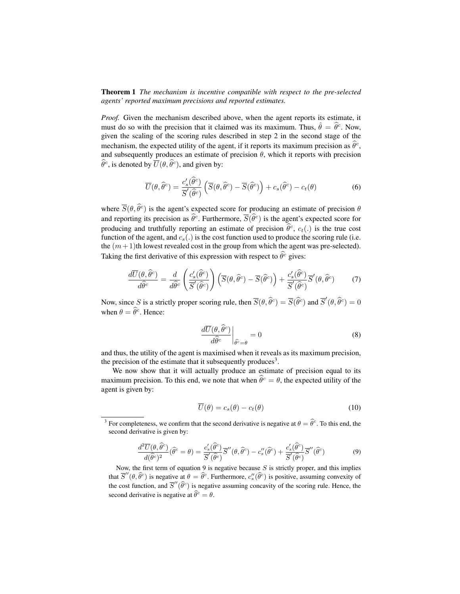Theorem 1 *The mechanism is incentive compatible with respect to the pre-selected agents' reported maximum precisions and reported estimates.*

*Proof.* Given the mechanism described above, when the agent reports its estimate, it must do so with the precision that it claimed was its maximum. Thus,  $\hat{\theta} = \hat{\theta}^c$ . Now, given the scaling of the scoring rules described in step 2 in the second stage of the mechanism, the expected utility of the agent, if it reports its maximum precision as  $\hat{\theta}^c$ , and subsequently produces an estimate of precision  $\theta$ , which it reports with precision  $\hat{\theta}^c$ , is denoted by  $\overline{U}(\theta, \hat{\theta}^c)$ , and given by:

$$
\overline{U}(\theta, \widehat{\theta}^c) = \frac{c'_s(\widehat{\theta}^c)}{\overline{S}'(\widehat{\theta}^c)} \left( \overline{S}(\theta, \widehat{\theta}^c) - \overline{S}(\widehat{\theta}^c) \right) + c_s(\widehat{\theta}^c) - c_t(\theta)
$$
\n(6)

where  $\overline{S}(\theta, \hat{\theta}^c)$  is the agent's expected score for producing an estimate of precision  $\theta$ and reporting its precision as  $\hat{\theta}^c$ . Furthermore,  $\overline{S}(\hat{\theta}^c)$  is the agent's expected score for producing and truthfully reporting an estimate of precision  $\hat{\theta}^c$ ,  $c_t(.)$  is the true cost function of the agent, and  $c_s(.)$  is the cost function used to produce the scoring rule (i.e. the  $(m+1)$ th lowest revealed cost in the group from which the agent was pre-selected). Taking the first derivative of this expression with respect to  $\hat{\theta}^c$  gives:

$$
\frac{d\overline{U}(\theta,\widehat{\theta}^c)}{d\widehat{\theta}^c} = \frac{d}{d\widehat{\theta}^c} \left(\frac{c'_s(\widehat{\theta}^c)}{\overline{S}'(\widehat{\theta}^c)}\right) \left(\overline{S}(\theta,\widehat{\theta}^c) - \overline{S}(\widehat{\theta}^c)\right) + \frac{c'_s(\widehat{\theta}^c)}{\overline{S}'(\widehat{\theta}^c)} \overline{S}'(\theta,\widehat{\theta}^c) \tag{7}
$$

Now, since S is a strictly proper scoring rule, then  $\overline{S}(\theta, \widehat{\theta}^c) = \overline{S}(\widehat{\theta}^c)$  and  $\overline{S}'(\theta, \widehat{\theta}^c) = 0$ when  $\theta = \widehat{\theta}^c$ . Hence:

$$
\left. \frac{d\overline{U}(\theta, \widehat{\theta}^c)}{d\widehat{\theta}^c} \right|_{\widehat{\theta}^c = \theta} = 0 \tag{8}
$$

and thus, the utility of the agent is maximised when it reveals as its maximum precision, the precision of the estimate that it subsequently produces<sup>3</sup>.

We now show that it will actually produce an estimate of precision equal to its maximum precision. To this end, we note that when  $\hat{\theta}^c = \theta$ , the expected utility of the agent is given by:

$$
\overline{U}(\theta) = c_s(\theta) - c_t(\theta) \tag{10}
$$

$$
\frac{d^2 \overline{U}(\theta, \widehat{\theta}^c)}{d(\widehat{\theta}^c)^2}(\widehat{\theta}^c = \theta) = \frac{c_s'(\widehat{\theta}^c)}{\overline{S}'(\widehat{\theta}^c)} \overline{S}''(\theta, \widehat{\theta}^c) - c_s''(\widehat{\theta}^c) + \frac{c_s'(\widehat{\theta}^c)}{\overline{S}'(\widehat{\theta}^c)} \overline{S}''(\widehat{\theta}^c)
$$
(9)

Now, the first term of equation 9 is negative because  $S$  is strictly proper, and this implies that  $\overline{S}''(\theta, \widehat{\theta}^c)$  is negative at  $\theta = \widehat{\theta}^c$ . Furthermore,  $c_s'(\widehat{\theta}^c)$  is positive, assuming convexity of the cost function, and  $\overline{S}''(\hat{\theta}^c)$  is negative assuming concavity of the scoring rule. Hence, the second derivative is negative at  $\hat{\theta}^c = \theta$ .

<sup>&</sup>lt;sup>3</sup> For completeness, we confirm that the second derivative is negative at  $\theta = \hat{\theta}^c$ . To this end, the second derivative is given by: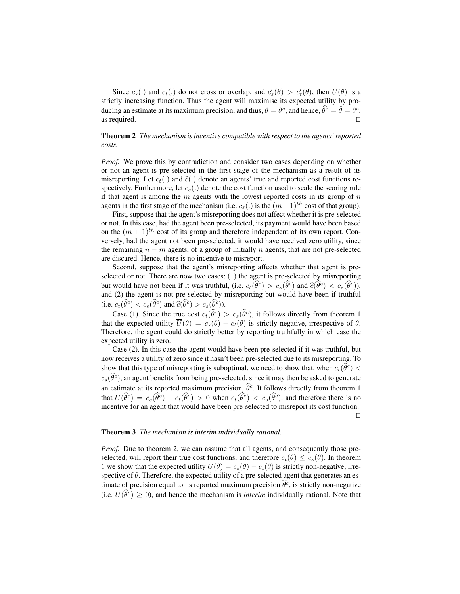Since  $c_s(.)$  and  $c_t(.)$  do not cross or overlap, and  $c'_s(\theta) > c'_t(\theta)$ , then  $\overline{U}(\theta)$  is a strictly increasing function. Thus the agent will maximise its expected utility by producing an estimate at its maximum precision, and thus,  $\theta = \theta^c$ , and hence,  $\hat{\theta}^c = \hat{\theta} = \theta^c$ , as required.

#### Theorem 2 *The mechanism is incentive compatible with respect to the agents' reported costs.*

*Proof.* We prove this by contradiction and consider two cases depending on whether or not an agent is pre-selected in the first stage of the mechanism as a result of its misreporting. Let  $c_t(.)$  and  $\hat{c}(.)$  denote an agents' true and reported cost functions respectively. Furthermore, let  $c_s(.)$  denote the cost function used to scale the scoring rule if that agent is among the  $m$  agents with the lowest reported costs in its group of  $n$ agents in the first stage of the mechanism (i.e.  $c_s(.)$ ) is the  $(m+1)^{th}$  cost of that group).

First, suppose that the agent's misreporting does not affect whether it is pre-selected or not. In this case, had the agent been pre-selected, its payment would have been based on the  $(m + 1)<sup>th</sup>$  cost of its group and therefore independent of its own report. Conversely, had the agent not been pre-selected, it would have received zero utility, since the remaining  $n - m$  agents, of a group of initially n agents, that are not pre-selected are discared. Hence, there is no incentive to misreport.

Second, suppose that the agent's misreporting affects whether that agent is preselected or not. There are now two cases: (1) the agent is pre-selected by misreporting but would have not been if it was truthful, (i.e.  $c_t(\hat{\theta}^c) > c_s(\hat{\theta}^c)$  and  $\hat{c}(\hat{\theta}^c) < c_s(\hat{\theta}^c)$ ), and (2) the agent is not pre-selected by misreporting but would have been if truthful (i.e.  $c_t(\hat{\theta}^c) < c_s(\hat{\theta}^c)$  and  $\hat{c}(\hat{\theta}^c) > c_s(\hat{\theta}^c)$ ).

Case (1). Since the true cost  $c_t(\hat{\theta}^c) > c_s(\hat{\theta}^c)$ , it follows directly from theorem 1 that the expected utility  $\overline{U}(\theta) = c_s(\theta) - c_t(\theta)$  is strictly negative, irrespective of  $\theta$ . Therefore, the agent could do strictly better by reporting truthfully in which case the expected utility is zero.

Case (2). In this case the agent would have been pre-selected if it was truthful, but now receives a utility of zero since it hasn't been pre-selected due to its misreporting. To show that this type of misreporting is suboptimal, we need to show that, when  $c_t(\hat{\theta}^c)$  <  $c_s(\hat{\theta}^c)$ , an agent benefits from being pre-selected, since it may then be asked to generate an estimate at its reported maximum precision,  $\hat{\theta}^c$ . It follows directly from theorem 1 that  $\overline{U}(\hat{\theta}^c) = c_s(\hat{\theta}^c) - c_t(\hat{\theta}^c) > 0$  when  $c_t(\hat{\theta}^c) < c_s(\hat{\theta}^c)$ , and therefore there is no incentive for an agent that would have been pre-selected to misreport its cost function. ⊓⊔

#### Theorem 3 *The mechanism is interim individually rational.*

*Proof.* Due to theorem 2, we can assume that all agents, and consequently those preselected, will report their true cost functions, and therefore  $c_t(\theta) \leq c_s(\theta)$ . In theorem 1 we show that the expected utility  $\overline{U}(\theta) = c_s(\theta) - c_t(\theta)$  is strictly non-negative, irrespective of  $\theta$ . Therefore, the expected utility of a pre-selected agent that generates an estimate of precision equal to its reported maximum precision  $\hat{\theta}^c$ , is strictly non-negative  $(i.e. \overline{U}(\hat{\theta}^c) \ge 0)$ , and hence the mechanism is *interim* individually rational. Note that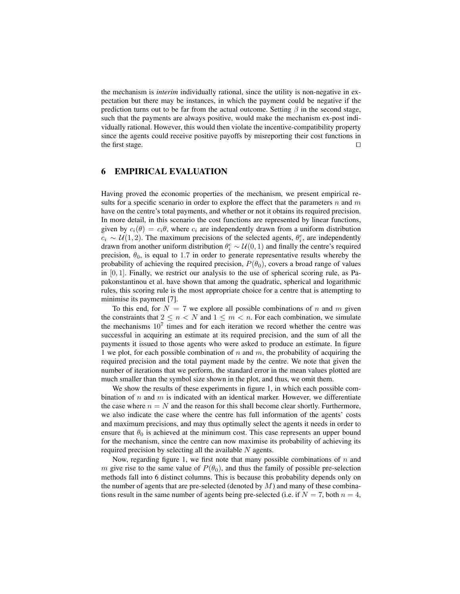the mechanism is *interim* individually rational, since the utility is non-negative in expectation but there may be instances, in which the payment could be negative if the prediction turns out to be far from the actual outcome. Setting  $\beta$  in the second stage, such that the payments are always positive, would make the mechanism ex-post individually rational. However, this would then violate the incentive-compatibility property since the agents could receive positive payoffs by misreporting their cost functions in the first stage. □

# 6 EMPIRICAL EVALUATION

Having proved the economic properties of the mechanism, we present empirical results for a specific scenario in order to explore the effect that the parameters  $n$  and  $m$ have on the centre's total payments, and whether or not it obtains its required precision. In more detail, in this scenario the cost functions are represented by linear functions, given by  $c_i(\theta) = c_i\theta$ , where  $c_i$  are independently drawn from a uniform distribution  $c_i \sim U(1, 2)$ . The maximum precisions of the selected agents,  $\theta_i^c$ , are independently drawn from another uniform distribution  $\theta_i^c \sim \mathcal{U}(0, 1)$  and finally the centre's required precision,  $\theta_0$ , is equal to 1.7 in order to generate representative results whereby the probability of achieving the required precision,  $P(\theta_0)$ , covers a broad range of values in  $[0, 1]$ . Finally, we restrict our analysis to the use of spherical scoring rule, as Papakonstantinou et al. have shown that among the quadratic, spherical and logarithmic rules, this scoring rule is the most appropriate choice for a centre that is attempting to minimise its payment [7].

To this end, for  $N = 7$  we explore all possible combinations of n and m given the constraints that  $2 \leq n < N$  and  $1 \leq m < n$ . For each combination, we simulate the mechanisms  $10<sup>7</sup>$  times and for each iteration we record whether the centre was successful in acquiring an estimate at its required precision, and the sum of all the payments it issued to those agents who were asked to produce an estimate. In figure 1 we plot, for each possible combination of n and m, the probability of acquiring the required precision and the total payment made by the centre. We note that given the number of iterations that we perform, the standard error in the mean values plotted are much smaller than the symbol size shown in the plot, and thus, we omit them.

We show the results of these experiments in figure 1, in which each possible combination of  $n$  and  $m$  is indicated with an identical marker. However, we differentiate the case where  $n = N$  and the reason for this shall become clear shortly. Furthermore, we also indicate the case where the centre has full information of the agents' costs and maximum precisions, and may thus optimally select the agents it needs in order to ensure that  $\theta_0$  is achieved at the minimum cost. This case represents an upper bound for the mechanism, since the centre can now maximise its probability of achieving its required precision by selecting all the available  $N$  agents.

Now, regarding figure 1, we first note that many possible combinations of  $n$  and m give rise to the same value of  $P(\theta_0)$ , and thus the family of possible pre-selection methods fall into 6 distinct columns. This is because this probability depends only on the number of agents that are pre-selected (denoted by  $M$ ) and many of these combinations result in the same number of agents being pre-selected (i.e. if  $N = 7$ , both  $n = 4$ ,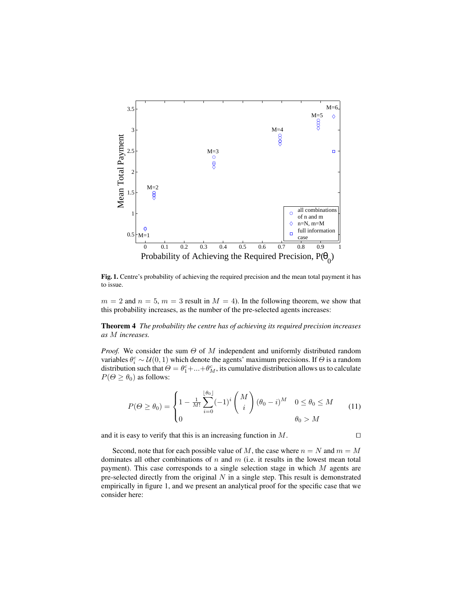

Fig. 1. Centre's probability of achieving the required precision and the mean total payment it has to issue.

 $m = 2$  and  $n = 5$ ,  $m = 3$  result in  $M = 4$ ). In the following theorem, we show that this probability increases, as the number of the pre-selected agents increases:

Theorem 4 *The probability the centre has of achieving its required precision increases as* M *increases.*

*Proof.* We consider the sum  $\Theta$  of M independent and uniformly distributed random variables  $\theta_i^c \sim \mathcal{U}(0, 1)$  which denote the agents' maximum precisions. If  $\Theta$  is a random distribution such that  $\Theta = \theta_1^c + ... + \theta_M^c$ , its cumulative distribution allows us to calculate  $P(\Theta \geq \theta_0)$  as follows:

$$
P(\Theta \ge \theta_0) = \begin{cases} 1 - \frac{1}{M!} \sum_{i=0}^{\lfloor \theta_0 \rfloor} (-1)^i {M \choose i} (\theta_0 - i)^M & 0 \le \theta_0 \le M \\ 0 & \theta_0 > M \end{cases}
$$
(11)

and it is easy to verify that this is an increasing function in  $M$ . □

Second, note that for each possible value of M, the case where  $n = N$  and  $m = M$ dominates all other combinations of  $n$  and  $m$  (i.e. it results in the lowest mean total payment). This case corresponds to a single selection stage in which  $M$  agents are pre-selected directly from the original  $N$  in a single step. This result is demonstrated empirically in figure 1, and we present an analytical proof for the specific case that we consider here: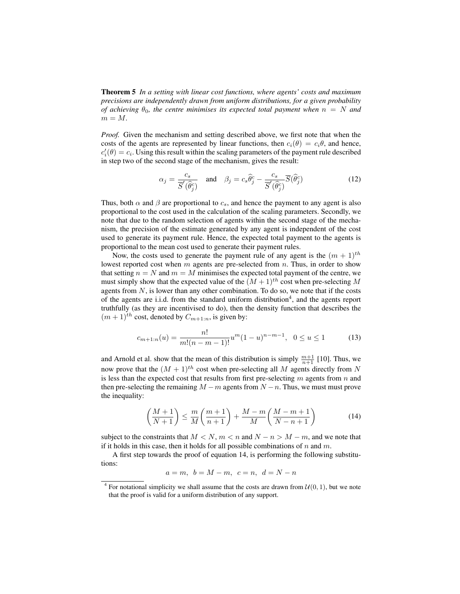Theorem 5 *In a setting with linear cost functions, where agents' costs and maximum precisions are independently drawn from uniform distributions, for a given probability of achieving*  $\theta_0$ *, the centre minimises its expected total payment when*  $n = N$  *and*  $m = M$ .

*Proof.* Given the mechanism and setting described above, we first note that when the costs of the agents are represented by linear functions, then  $c_i(\theta) = c_i \theta$ , and hence,  $c_i'(\theta) = c_i$ . Using this result within the scaling parameters of the payment rule described in step two of the second stage of the mechanism, gives the result:

$$
\alpha_j = \frac{c_s}{\overline{S}'(\widehat{\theta}_j^c)} \quad \text{and} \quad \beta_j = c_s \widehat{\theta}_j^c - \frac{c_s}{\overline{S}'(\widehat{\theta}_j^c)} \overline{S}(\widehat{\theta}_j^c)
$$
 (12)

Thus, both  $\alpha$  and  $\beta$  are proportional to  $c_s$ , and hence the payment to any agent is also proportional to the cost used in the calculation of the scaling parameters. Secondly, we note that due to the random selection of agents within the second stage of the mechanism, the precision of the estimate generated by any agent is independent of the cost used to generate its payment rule. Hence, the expected total payment to the agents is proportional to the mean cost used to generate their payment rules.

Now, the costs used to generate the payment rule of any agent is the  $(m + 1)<sup>th</sup>$ lowest reported cost when  $m$  agents are pre-selected from  $n$ . Thus, in order to show that setting  $n = N$  and  $m = M$  minimises the expected total payment of the centre, we must simply show that the expected value of the  $(M + 1)^{th}$  cost when pre-selecting M agents from  $N$ , is lower than any other combination. To do so, we note that if the costs of the agents are i.i.d. from the standard uniform distribution<sup>4</sup>, and the agents report truthfully (as they are incentivised to do), then the density function that describes the  $(m+1)^{th}$  cost, denoted by  $C_{m+1:n}$ , is given by:

$$
c_{m+1:n}(u) = \frac{n!}{m!(n-m-1)!}u^m(1-u)^{n-m-1}, \quad 0 \le u \le 1
$$
 (13)

and Arnold et al. show that the mean of this distribution is simply  $\frac{m+1}{n+1}$  [10]. Thus, we now prove that the  $(M + 1)^{th}$  cost when pre-selecting all M agents directly from N is less than the expected cost that results from first pre-selecting  $m$  agents from  $n$  and then pre-selecting the remaining  $M - m$  agents from  $N - n$ . Thus, we must must prove the inequality:

$$
\left(\frac{M+1}{N+1}\right) \le \frac{m}{M} \left(\frac{m+1}{n+1}\right) + \frac{M-m}{M} \left(\frac{M-m+1}{N-n+1}\right) \tag{14}
$$

subject to the constraints that  $M < N$ ,  $m < n$  and  $N - n > M - m$ , and we note that if it holds in this case, then it holds for all possible combinations of  $n$  and  $m$ .

A first step towards the proof of equation 14, is performing the following substitutions:

$$
a=m, b=M-m, c=n, d=N-n
$$

<sup>&</sup>lt;sup>4</sup> For notational simplicity we shall assume that the costs are drawn from  $\mathcal{U}(0, 1)$ , but we note that the proof is valid for a uniform distribution of any support.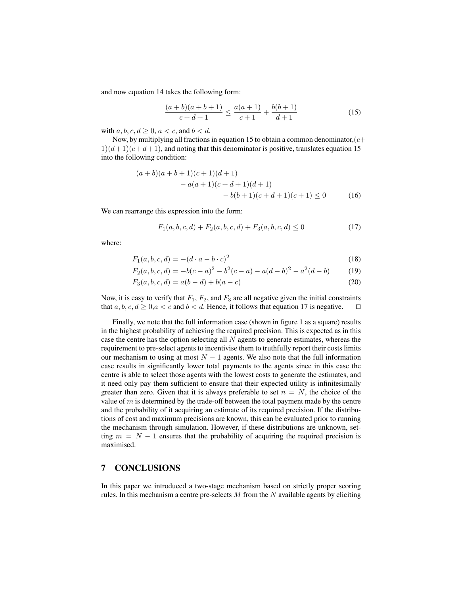and now equation 14 takes the following form:

$$
\frac{(a+b)(a+b+1)}{c+d+1} \le \frac{a(a+1)}{c+1} + \frac{b(b+1)}{d+1}
$$
(15)

with  $a, b, c, d \geq 0$ ,  $a < c$ , and  $b < d$ .

Now, by multiplying all fractions in equation 15 to obtain a common denominator,  $(c+)$  $1\left(\frac{d+1}{c+d+1}\right)$ , and noting that this denominator is positive, translates equation 15 into the following condition:

$$
(a+b)(a+b+1)(c+1)(d+1)
$$
  
-a(a+1)(c+d+1)(d+1)  
-b(b+1)(c+d+1)(c+1) \le 0 (16)

We can rearrange this expression into the form:

$$
F_1(a, b, c, d) + F_2(a, b, c, d) + F_3(a, b, c, d) \le 0
$$
\n<sup>(17)</sup>

where:

$$
F_1(a, b, c, d) = -(d \cdot a - b \cdot c)^2
$$
\n(18)

$$
F_2(a, b, c, d) = -b(c - a)^2 - b^2(c - a) - a(d - b)^2 - a^2(d - b)
$$
 (19)

$$
F_3(a, b, c, d) = a(b - d) + b(a - c)
$$
\n(20)

Now, it is easy to verify that  $F_1, F_2$ , and  $F_3$  are all negative given the initial constraints that  $a, b, c, d \geq 0, a \leq c$  and  $b \leq d$ . Hence, it follows that equation 17 is negative. □

Finally, we note that the full information case (shown in figure 1 as a square) results in the highest probability of achieving the required precision. This is expected as in this case the centre has the option selecting all  $N$  agents to generate estimates, whereas the requirement to pre-select agents to incentivise them to truthfully report their costs limits our mechanism to using at most  $N - 1$  agents. We also note that the full information case results in significantly lower total payments to the agents since in this case the centre is able to select those agents with the lowest costs to generate the estimates, and it need only pay them sufficient to ensure that their expected utility is infinitesimally greater than zero. Given that it is always preferable to set  $n = N$ , the choice of the value of  $m$  is determined by the trade-off between the total payment made by the centre and the probability of it acquiring an estimate of its required precision. If the distributions of cost and maximum precisions are known, this can be evaluated prior to running the mechanism through simulation. However, if these distributions are unknown, setting  $m = N - 1$  ensures that the probability of acquiring the required precision is maximised.

# 7 CONCLUSIONS

In this paper we introduced a two-stage mechanism based on strictly proper scoring rules. In this mechanism a centre pre-selects  $M$  from the  $N$  available agents by eliciting